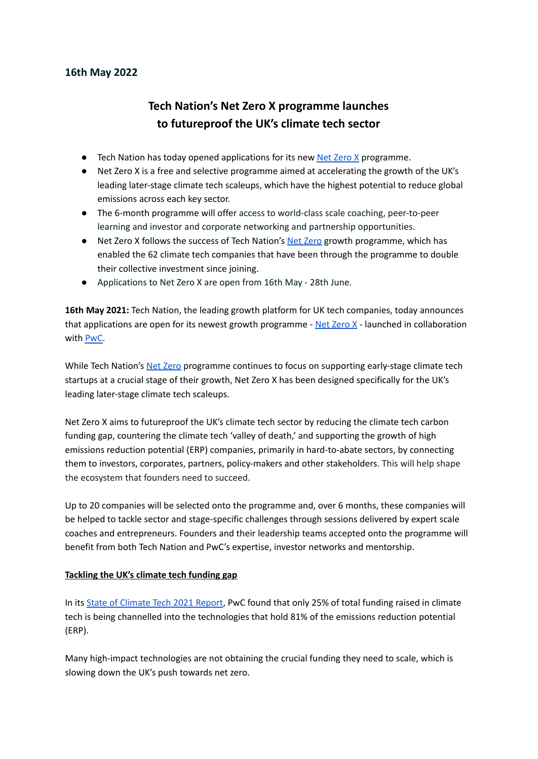## **16th May 2022**

# **Tech Nation's Net Zero X programme launches to futureproof the UK's climate tech sector**

- Tech Nation has today opened applications for its new Net [Zero](https://technation.io/programmes/net-zero-x/) X programme.
- Net Zero X is a free and selective programme aimed at accelerating the growth of the UK's leading later-stage climate tech scaleups, which have the highest potential to reduce global emissions across each key sector.
- The 6-month programme will offer access to world-class scale coaching, peer-to-peer learning and investor and corporate networking and partnership opportunities.
- Net [Zero](https://technation.io/programmes/net-zero/) X follows the success of Tech Nation's Net Zero growth programme, which has enabled the 62 climate tech companies that have been through the programme to double their collective investment since joining.
- Applications to Net Zero X are open from 16th May 28th June.

**16th May 2021:** Tech Nation, the leading growth platform for UK tech companies, today announces that applications are open for its newest growth programme - Net [Zero](https://technation.io/programmes/net-zero-x/)  $X$  - launched in collaboration with [PwC.](https://www.pwc.co.uk/)

While Tech Nation's Net [Zero](https://technation.io/programmes/net-zero/) programme continues to focus on supporting early-stage climate tech startups at a crucial stage of their growth, Net Zero X has been designed specifically for the UK's leading later-stage climate tech scaleups.

Net Zero X aims to futureproof the UK's climate tech sector by reducing the climate tech carbon funding gap, countering the climate tech 'valley of death,' and supporting the growth of high emissions reduction potential (ERP) companies, primarily in hard-to-abate sectors, by connecting them to investors, corporates, partners, policy-makers and other stakeholders. This will help shape the ecosystem that founders need to succeed.

Up to 20 companies will be selected onto the programme and, over 6 months, these companies will be helped to tackle sector and stage-specific challenges through sessions delivered by expert scale coaches and entrepreneurs. Founders and their leadership teams accepted onto the programme will benefit from both Tech Nation and PwC's expertise, investor networks and mentorship.

#### **Tackling the UK's climate tech funding gap**

In its State of [Climate](https://www.pwc.com/gx/en/services/sustainability/publications/state-of-climate-tech.html) Tech 2021 Report, PwC found that only 25% of total funding raised in climate tech is being channelled into the technologies that hold 81% of the emissions reduction potential (ERP).

Many high-impact technologies are not obtaining the crucial funding they need to scale, which is slowing down the UK's push towards net zero.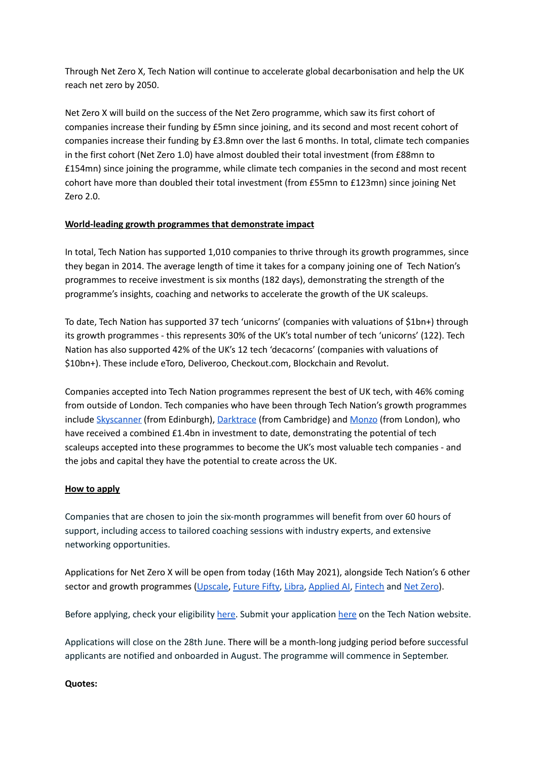Through Net Zero X, Tech Nation will continue to accelerate global decarbonisation and help the UK reach net zero by 2050.

Net Zero X will build on the success of the Net Zero programme, which saw its first cohort of companies increase their funding by £5mn since joining, and its second and most recent cohort of companies increase their funding by £3.8mn over the last 6 months. In total, climate tech companies in the first cohort (Net Zero 1.0) have almost doubled their total investment (from £88mn to £154mn) since joining the programme, while climate tech companies in the second and most recent cohort have more than doubled their total investment (from £55mn to £123mn) since joining Net Zero 2.0.

## **World-leading growth programmes that demonstrate impact**

In total, Tech Nation has supported 1,010 companies to thrive through its growth programmes, since they began in 2014. The average length of time it takes for a company joining one of Tech Nation's programmes to receive investment is six months (182 days), demonstrating the strength of the programme's insights, coaching and networks to accelerate the growth of the UK scaleups.

To date, Tech Nation has supported 37 tech 'unicorns' (companies with valuations of \$1bn+) through its growth programmes - this represents 30% of the UK's total number of tech 'unicorns' (122). Tech Nation has also supported 42% of the UK's 12 tech 'decacorns' (companies with valuations of \$10bn+). These include eToro, Deliveroo, Checkout.com, Blockchain and Revolut.

Companies accepted into Tech Nation programmes represent the best of UK tech, with 46% coming from outside of London. Tech companies who have been through Tech Nation's growth programmes include [Skyscanner](https://www.skyscanner.net/) (from Edinburgh), [Darktrace](https://www.darktrace.com/en/) (from Cambridge) and [Monzo](https://monzo.com/) (from London), who have received a combined £1.4bn in investment to date, demonstrating the potential of tech scaleups accepted into these programmes to become the UK's most valuable tech companies - and the jobs and capital they have the potential to create across the UK.

## **How to apply**

Companies that are chosen to join the six-month programmes will benefit from over 60 hours of support, including access to tailored coaching sessions with industry experts, and extensive networking opportunities.

Applications for Net Zero X will be open from today (16th May 2021), alongside Tech Nation's 6 other sector and growth programmes [\(Upscale](https://technation.io/programmes/upscale/), [Future](https://technation.io/programmes/future-fifty/) Fifty, [Libra,](https://technation.io/programmes/libra/) [Applied](https://technation.io/programmes/applied-ai/) AI, [Fintech](https://technation.io/programmes/fintech) and Net [Zero](https://technation.io/programmes/net-zero)).

Before applying, check your eligibility [here.](https://technation.io/programmes/net-zero-x/) Submit your application [here](https://technation.io/programmes/net-zero-x/) on the Tech Nation website.

Applications will close on the 28th June. There will be a month-long judging period before successful applicants are notified and onboarded in August. The programme will commence in September.

#### **Quotes:**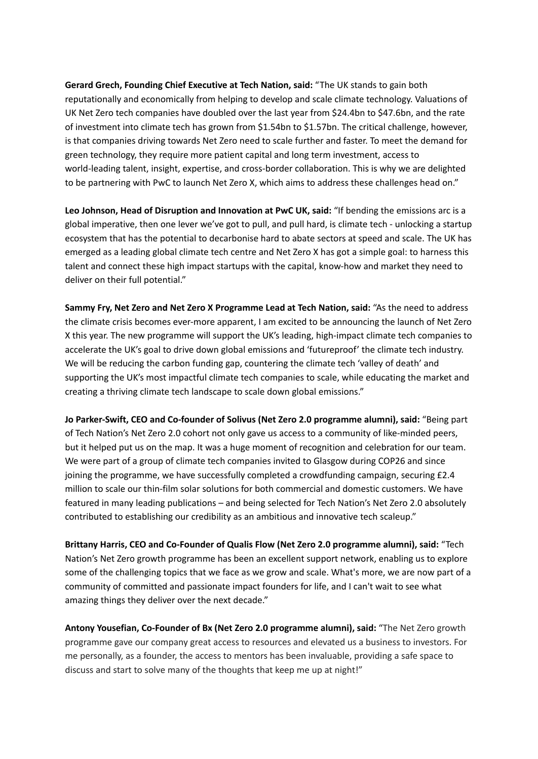**Gerard Grech, Founding Chief Executive at Tech Nation, said:** "The UK stands to gain both reputationally and economically from helping to develop and scale climate technology. Valuations of UK Net Zero tech companies have doubled over the last year from \$24.4bn to \$47.6bn, and the rate of investment into climate tech has grown from \$1.54bn to \$1.57bn. The critical challenge, however, is that companies driving towards Net Zero need to scale further and faster. To meet the demand for green technology, they require more patient capital and long term investment, access to world-leading talent, insight, expertise, and cross-border collaboration. This is why we are delighted to be partnering with PwC to launch Net Zero X, which aims to address these challenges head on."

**Leo Johnson, Head of Disruption and Innovation at PwC UK, said:** "If bending the emissions arc is a global imperative, then one lever we've got to pull, and pull hard, is climate tech - unlocking a startup ecosystem that has the potential to decarbonise hard to abate sectors at speed and scale. The UK has emerged as a leading global climate tech centre and Net Zero X has got a simple goal: to harness this talent and connect these high impact startups with the capital, know-how and market they need to deliver on their full potential."

**Sammy Fry, Net Zero and Net Zero X Programme Lead at Tech Nation, said:** "As the need to address the climate crisis becomes ever-more apparent, I am excited to be announcing the launch of Net Zero X this year. The new programme will support the UK's leading, high-impact climate tech companies to accelerate the UK's goal to drive down global emissions and 'futureproof' the climate tech industry. We will be reducing the carbon funding gap, countering the climate tech 'valley of death' and supporting the UK's most impactful climate tech companies to scale, while educating the market and creating a thriving climate tech landscape to scale down global emissions."

**Jo Parker-Swift, CEO and Co-founder of Solivus (Net Zero 2.0 programme alumni), said:** "Being part of Tech Nation's Net Zero 2.0 cohort not only gave us access to a community of like-minded peers, but it helped put us on the map. It was a huge moment of recognition and celebration for our team. We were part of a group of climate tech companies invited to Glasgow during COP26 and since joining the programme, we have successfully completed a crowdfunding campaign, securing £2.4 million to scale our thin-film solar solutions for both commercial and domestic customers. We have featured in many leading publications – and being selected for Tech Nation's Net Zero 2.0 absolutely contributed to establishing our credibility as an ambitious and innovative tech scaleup."

**Brittany Harris, CEO and Co-Founder of Qualis Flow (Net Zero 2.0 programme alumni), said:** "Tech Nation's Net Zero growth programme has been an excellent support network, enabling us to explore some of the challenging topics that we face as we grow and scale. What's more, we are now part of a community of committed and passionate impact founders for life, and I can't wait to see what amazing things they deliver over the next decade."

**Antony Yousefian, Co-Founder of Bx (Net Zero 2.0 programme alumni), said:** "The Net Zero growth programme gave our company great access to resources and elevated us a business to investors. For me personally, as a founder, the access to mentors has been invaluable, providing a safe space to discuss and start to solve many of the thoughts that keep me up at night!"